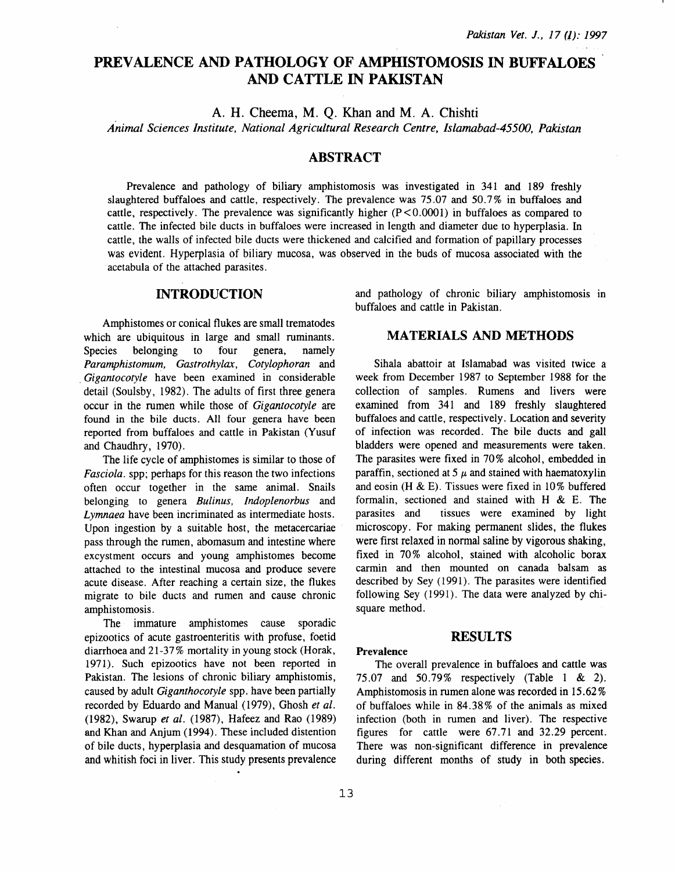# PREVALENCE AND PATHOLOGY OF AMPHISTOMOSIS IN BUFFALOES AND CATTLE IN PAKISTAN

A. H. Cheema, M. Q. Khan and M. A. Chishti

*Animal Sciences Institute, National Agricultural Research Centre, /slamabad-45500, Pakistan* 

#### ABSTRACT

Prevalence and pathology of biliary amphistomosis was investigated in 341 and 189 freshly slaughtered buffaloes and cattle, respectively. The prevalence was 75.07 and 50.7% in buffaloes and cattle, respectively. The prevalence was significantly higher  $(P < 0.0001)$  in buffaloes as compared to cattle. The infected bile ducts in buffaloes were increased in length and diameter due to hyperplasia. In cattle, the walls of infected bile ducts were thickened and calcified and formation of papillary processes was evident. Hyperplasia of biliary mucosa, was observed in the buds of mucosa associated with the acetabula of the attached parasites.

#### INTRODUCTION

Amphistomes or conical flukes are small trematodes which are ubiquitous in large and small ruminants. Species belonging to four genera, namely *Paramphistomum, Gastrothylax, Cotylophoran* and . *Gigantocotyle* have been examined in considerable detail (Soulsby, 1982). The adults of first three genera occur in the rumen while those of *Gigantocotyle* are found in the bile ducts. All four genera have been reported from buffaloes and cattle in Pakistan (Yusuf and Chaudhry, 1970).

The life cycle of amphistomes is similar to those of *Fasciola.* spp; perhaps for this reason the two infections often occur together in the same animal. Snails belonging to genera *Bulinus, Indoplenorbus* and *Lymnaea* have been incriminated as intermediate hosts. Upon ingestion by a suitable host, the metacercariae pass through the rumen, abomasum and intestine where excystment occurs and young amphistomes become attached to the intestinal mucosa and produce severe acute disease. After reaching a certain size, the flukes migrate to bile ducts and rumen and cause chronic amphistomosis.

The immature amphistomes cause sporadic epizootics of acute gastroenteritis with profuse, foetid diarrhoea and 21-37% mortality in young stock (Horak, 1971). Such epizootics have not been reported in Pakistan. The lesions of chronic biliary amphistomis, caused by adult *Giganthocotyle* spp. have been partially recorded by Eduardo and Manual (1979), Ghosh *et al.*  (1982), Swamp *et al.* (1987), Hafeez and Rao (1989) and Khan and Anjum (1994). These included distention of bile ducts, hyperplasia and desquamation of mucosa and whitish foci in liver. This study presents prevalence

and pathology of chronic biliary amphistomosis in buffaloes and cattle in Pakistan.

### MATERIALS AND METHODS

Sihala abattoir at Islamabad was visited twice a week from December 1987 to September 1988 for the collection of samples. Rumens and livers were examined from 341 and 189 freshly slaughtered buffaloes and cattle, respectively. Location and severity of infection was recorded. The bile ducts and gall bladders were opened and measurements were taken. The parasites were fixed in 70% alcohol, embedded in paraffin, sectioned at 5  $\mu$  and stained with haematoxylin and eosin (H & E). Tissues were fixed in 10% buffered formalin, sectioned and stained with H & E. The parasites and tissues were examined by light microscopy. For making permanent slides, the flukes were first relaxed in normal saline by vigorous shaking, fixed in 70% alcohol, stained with alcoholic borax carmin and then mounted on canada balsam as described by Sey (1991). The parasites were identified following Sey (1991). The data were analyzed by chisquare method.

#### RESULTS

#### Prevalence

The overall prevalence in buffaloes and cattle was 75.07 and 50.79% respectively (Table 1 & 2). Amphistomosis in rumen alone was recorded in 15.62% of buffaloes while in 84.38% of the animals as mixed infection (both in rumen and liver). The respective figures for cattle were 67.71 and 32.29 percent. There was non-significant difference in prevalence during different months of study in both species.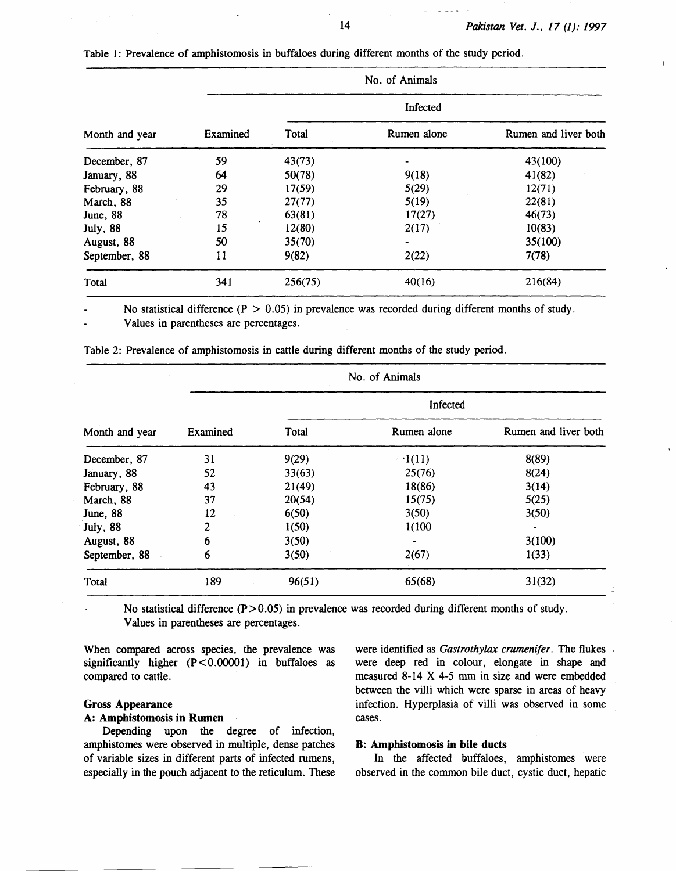$\mathbf{I}$ 

| Month and year   | No. of Animals |          |             |                      |
|------------------|----------------|----------|-------------|----------------------|
|                  |                | Infected |             |                      |
|                  | Examined       | Total    | Rumen alone | Rumen and liver both |
| December, 87     | 59             | 43(73)   |             | 43(100)              |
| January, 88      | 64             | 50(78)   | 9(18)       | 41(82)               |
| February, 88     | 29             | 17(59)   | 5(29)       | 12(71)               |
| March, 88        | 35             | 27(77)   | 5(19)       | 22(81)               |
| June, 88         | 78             | 63(81)   | 17(27)      | 46(73)               |
| <b>July</b> , 88 | 15             | 12(80)   | 2(17)       | 10(83)               |
| August, 88       | 50             | 35(70)   |             | 35(100)              |
| September, 88    | 11             | 9(82)    | 2(22)       | 7(78)                |
| Total            | 341            | 256(75)  | 40(16)      | 216(84)              |

Table 1: Prevalence of amphistomosis in buffaloes during different months of the study period.

No statistical difference ( $P > 0.05$ ) in prevalence was recorded during different months of study.

Values in parentheses are percentages.

Table 2: Prevalence of amphistomosis in cattle during different months of the study period.

| Month and year   | No. of Animals |          |             |                      |  |
|------------------|----------------|----------|-------------|----------------------|--|
|                  | Examined       | Infected |             |                      |  |
|                  |                | Total    | Rumen alone | Rumen and liver both |  |
| December, 87     | 31             | 9(29)    | $-1(11)$    | 8(89)                |  |
| January, 88      | 52             | 33(63)   | 25(76)      | 8(24)                |  |
| February, 88     | 43             | 21(49)   | 18(86)      | 3(14)                |  |
| March, 88        | 37             | 20(54)   | 15(75)      | 5(25)                |  |
| June, 88         | 12             | 6(50)    | 3(50)       | 3(50)                |  |
| <b>July</b> , 88 | 2              | 1(50)    | 1(100)      |                      |  |
| August, 88       | 6              | 3(50)    |             | 3(100)               |  |
| September, 88    | 6              | 3(50)    | 2(67)       | 1(33)                |  |
| Total            | 189            | 96(51)   | 65(68)      | 31(32)               |  |

No statistical difference  $(P>0.05)$  in prevalence was recorded during different months of study. Values in parentheses are percentages.

When compared across species, the prevalence was significantly higher (P<0.00001) in buffaloes as compared to cattle.

## Gross Appearance

### A: Amphistomosis in Rumen

Depending upon the degree of infection, amphistomes were observed in multiple, dense patches of variable sizes in different parts of infected rumens, especially in the pouch adjacent to the reticulum. These were identified as *Gastrothylax crumenifer.* The flukes were deep red in colour, elongate in shape and measured 8-14 X 4-5 mm in size and were embedded between the villi which were sparse in areas of heavy infection. Hyperplasia of villi was observed in some cases.

#### B: Amphistomosis in bile ducts

In the affected buffaloes, amphistomes were observed in the common bile duct, cystic duct, hepatic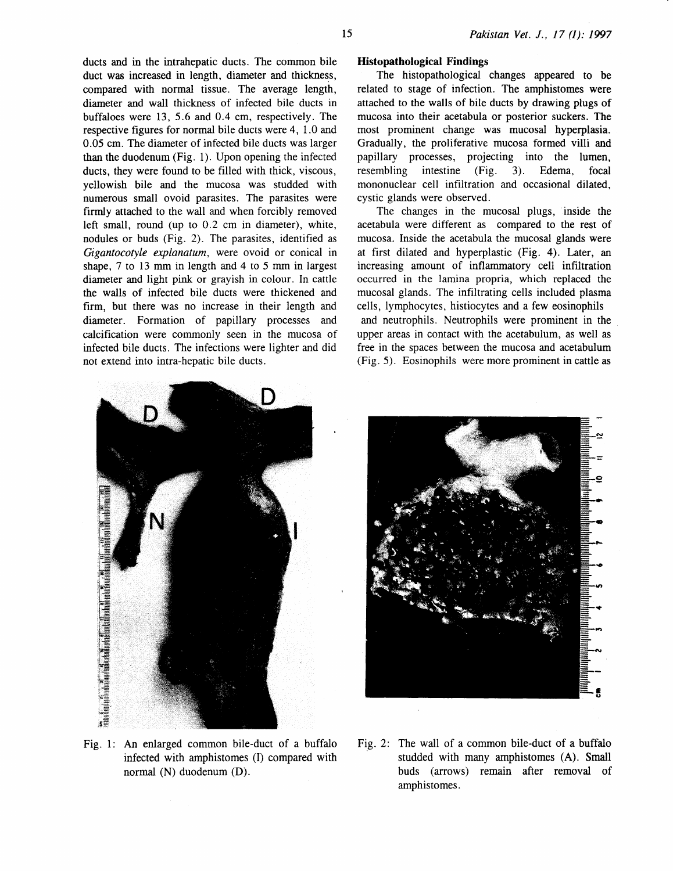ducts and in the intrahepatic ducts. The common bile duct was increased in length, diameter and thickness, compared with normal tissue. The average length, diameter and wall thickness of infected bile ducts in buffaloes were 13, 5.6 and 0.4 em, respectively. The respective figures for normal bile ducts were 4, 1.0 and 0.05 em. The diameter of infected bile ducts was larger than the duodenum (Fig. 1). Upon opening the infected ducts, they were found to be filled with thick, viscous, yellowish bile and the mucosa was studded with numerous small ovoid parasites. The parasites were firmly attached to the wall and when forcibly removed left small, round (up to 0.2 em in diameter), white, nodules or buds (Fig. 2). The parasites, identified as *Gigantocotyle explanatum,* were ovoid or conical in shape, 7 to 13 mm in length and 4 to 5 mm in largest diameter and light pink or grayish in colour. In cattle the walls of infected bile ducts were thickened and firm, but there was no increase in their length and diameter. Formation of papillary processes and calcification were commonly seen in the mucosa of infected bile ducts. The infections were lighter and did not extend into intra-hepatic bile ducts.

### **Histopathological Findings**

The histopathological changes appeared to be related to stage of infection. The amphistomes were attached to the walls of bile ducts by drawing plugs of mucosa into their acetabula or posterior suckers. The most prominent change was mucosal hyperplasia. Gradually, the proliferative mucosa formed villi and papillary processes, projecting into the lumen, resembling intestine (Fig. 3). Edema, focal mononuclear cell infiltration and occasional dilated, cystic glands were observed.

The changes in the mucosal plugs, inside the acetabula were different as compared to the rest of mucosa. Inside the acetabula the mucosal glands were at first dilated and hyperplastic (Fig. 4). Later, an increasing amount of inflammatory cell infiltration occurred in the lamina propria, which replaced the mucosal glands. The infiltrating cells included plasma cells, lymphocytes, histiocytes and a few eosinophils and neutrophils. Neutrophils were prominent in the upper areas in contact with the acetabulum, as well as free in the spaces between the mucosa and acetabulum (Fig. 5). Eosinophils were more prominent in cattle as





- Fig. 1: An enlarged common bile-duct of a buffalo infected with amphistomes (I) compared with normal (N) duodenum (D).
- Fig. 2: The wall of a common bile-duct of a buffalo studded with many amphistomes (A). Small buds (arrows) remain after removal of amphistomes.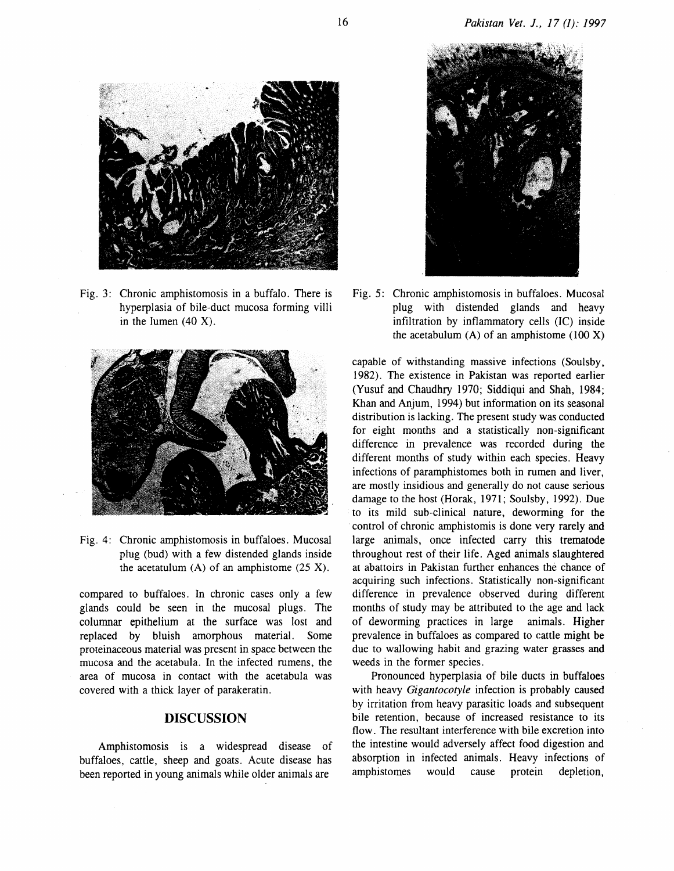

Fig. 3: Chronic amphistomosis in a buffalo. There is hyperplasia of bile-duct mucosa forming villi in the lumen  $(40 X)$ .



Fig. 4: Chronic amphistomosis in buffaloes. Mucosal plug (bud) with a few distended glands inside the acetatulum  $(A)$  of an amphistome  $(25 X)$ .

compared to buffaloes. In chronic cases only a few glands could be seen in the mucosal plugs. The columnar epithelium at the surface was lost and replaced by bluish amorphous material. Some proteinaceous material was present in space between the mucosa and the acetabula. In the infected rumens, the area of mucosa in contact with the acetabula was covered with a thick layer of parakeratin.

### **DISCUSSION**

Amphistomosis is a widespread disease of buffaloes, cattle, sheep and goats. Acute disease has been reported in young animals while older animals are



Fig. 5: Chronic amphistomosis in buffaloes. Mucosal plug with distended glands and heavy infiltration by inflammatory cells (IC) inside the acetabulum  $(A)$  of an amphistome (100 X)

capable of withstanding massive infections (Soulsby, 1982). The existence in Pakistan was reported earlier (Yusuf and Chaudhry 1970; Siddiqui and Shah, 1984; Khan and Anjum, 1994) but information on its seasonal distribution is lacking. The present study was conducted for eight months and a statistically non-significant difference in prevalence was recorded during the different months of study within each species. Heavy infections of paramphistomes both in rumen and liver, are mostly insidious and generally do not cause serious damage to the host (Horak, 1971; Soulsby, 1992). Due to its mild sub-clinical nature, deworming for the control of chronic amphistomis is done very rarely and large animals, once infected carry this trematode throughout rest of their life. Aged animals slaughtered at abattoirs in Pakistan further enhances the chance of acquiring such infections. Statistically non-significant difference in prevalence observed during different months of study may be attributed to the age and lack of deworming practices in large animals. Higher prevalence in buffaloes as compared to cattle might be due to wallowing habit and grazing water grasses and weeds in the former species.

Pronounced hyperplasia of bile ducts in buffaloes with heavy *Gigantocotyle* infection is probably caused by irritation from heavy parasitic loads and subsequent bile retention, because of increased resistance to its flow. The resultant interference with bile excretion into the intestine would adversely affect food digestion and absorption in infected animals. Heavy infections of amphistomes would cause protein depletion,